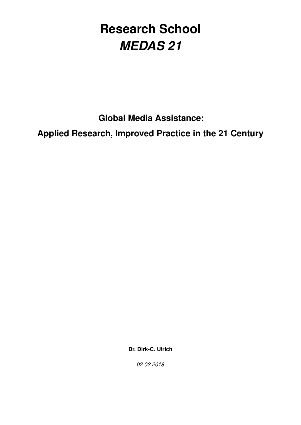# **Research School** *MEDAS 21*

**Global Media Assistance:**

**Applied Research, Improved Practice in the 21 Century**

**Dr. Dirk-C. Ulrich**

*02.02.2018*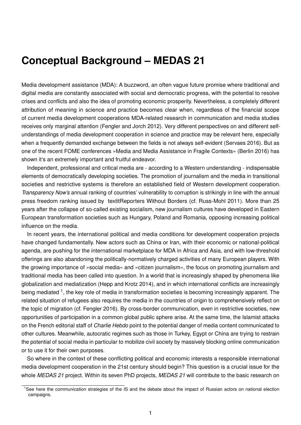# **Conceptual Background – MEDAS 21**

Media development assistance (MDA): A buzzword, an often vague future promise where traditional and digital media are constantly associated with social and democratic progress, with the potential to resolve crises and conflicts and also the idea of promoting economic prosperity. Nevertheless, a completely different attribution of meaning in science and practice becomes clear when, regardless of the financial scope of current media development cooperations MDA-related research in communication and media studies receives only marginal attention (Fengler and Jorch 2012). Very different perspectives on and different selfunderstandings of media development cooperation in science and practice may be relevant here, especially when a frequently demanded exchange between the fields is not always self-evident (Servaes 2016). But as one of the recent FOME conferences »Media and Media Assistance in Fragile Contexts« (Berlin 2016) has shown it's an extremely important and fruitful endeavor.

Independent, professional and critical media are - according to a Western understanding - indispensable elements of democratically developing societies. The promotion of journalism and the media in transitional societies and restrictive systems is therefore an established field of Western development cooperation. *Transparency Now's* annual ranking of countries' vulnerability to corruption is strikingly in line with the annual press freedom ranking issued by textitReporters Without Borders (cf. Russ-Mohl 2011). More than 25 years after the collapse of so-called existing socialism, new journalism cultures have developed in Eastern European transformation societies such as Hungary, Poland and Romania, opposing increasing political influence on the media.

In recent years, the international political and media conditions for development cooperation projects have changed fundamentally. New actors such as China or Iran, with their economic or national-political agenda, are pushing for the international marketplace for MDA in Africa and Asia, and with low-threshold offerings are also abandoning the politically-normatively charged activities of many European players. With the growing importance of »social media« and »citizen journalism«, the focus on promoting journalism and traditional media has been called into question. In a world that is increasingly shaped by phenomena like globalization and mediatization (Hepp and Krotz 2014), and in which international conflicts are increasingly being mediated <sup>1</sup>, the key role of media in transformation societies is becoming increasingly apparent. The related situation of refugees also requires the media in the countries of origin to comprehensively reflect on the topic of migration (cf. Fengler 2016). By cross-border communication, even in restrictive societies, new opportunities of participation in a common global public sphere arise. At the same time, the Islamist attacks on the French editorial staff of *Charlie Hebdo* point to the potential danger of media content communicated to other cultures. Meanwhile, autocratic regimes such as those in Turkey, Egypt or China are trying to restrain the potential of social media in particular to mobilize civil society by massively blocking online communication or to use it for their own purposes.

So where in the context of these conflicting political and economic interests a responsible international media development cooperation in the 21st century should begin? This question is a crucial issue for the whole *MEDAS 21* project. Within its seven PhD projects, *MEDAS 21* will contribute to the basic research on

<sup>&</sup>lt;sup>1</sup>See here the communication strategies of the IS and the debate about the impact of Russian actors on national election campaigns.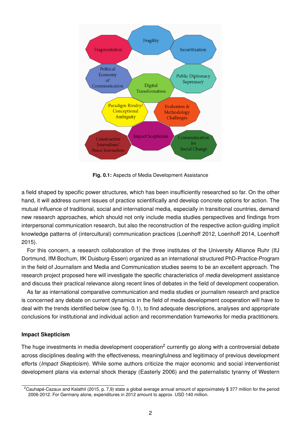

**Fig. 0.1:** Aspects of Media Development Assistance

a field shaped by specific power structures, which has been insufficiently researched so far. On the other hand, it will address current issues of practice scientifically and develop concrete options for action. The mutual influence of traditional, social and international media, especially in transitional countries, demand new research approaches, which should not only include media studies perspectives and findings from interpersonal communication research, but also the reconstruction of the respective action-guiding implicit knowledge patterns of (intercultural) communication practices (Loenhoff 2012, Loenhoff 2014, Loenhoff 2015).

For this concern, a research collaboration of the three institutes of the University Alliance Ruhr (IfJ Dortmund, IfM Bochum, IfK Duisburg-Essen) organized as an international structured PhD-Practice-Program in the field of Journalism and Media and Communication studies seems to be an excellent approach. The research project proposed here will investigate the specific characteristics of *media* development assistance and discuss their practical relevance along recent lines of debates in the field of development cooperation.

As far as international comparative communication and media studies or journalism research and practice is concerned any debate on current dynamics in the field of media development cooperation will have to deal with the trends identified below (see fig. 0.1), to find adequate descriptions, analyses and appropriate conclusions for institutional and individual action and recommendation frameworks for media practitioners.

#### **Impact Skepticism**

The huge investments in media development cooperation<sup>2</sup> currently go along with a controversial debate across disciplines dealing with the effectiveness, meaningfulness and legitimacy of previous development efforts (*Impact Skepticism*). While some authors criticize the major economic and social interventionist development plans via external shock therapy (Easterly 2006) and the paternalistic tyranny of Western

<sup>&</sup>lt;sup>2</sup>Cauhapé-Cazaux and Kalathil (2015, p. 7,9) state a global average annual amount of approximately \$ 377 million for the period 2006-2012. For Germany alone, expenditures in 2012 amount to approx. USD 140 million.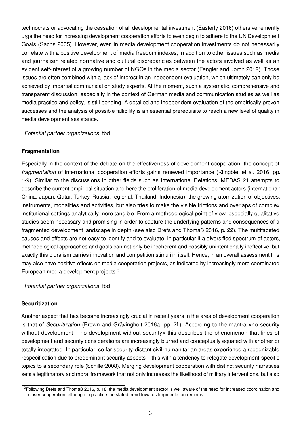technocrats or advocating the cessation of all developmental investment (Easterly 2016) others vehemently urge the need for increasing development cooperation efforts to even begin to adhere to the UN Development Goals (Sachs 2005). However, even in media development cooperation investments do not necessarily correlate with a positive development of media freedom indexes, in addition to other issues such as media and journalism related normative and cultural discrepancies between the actors involved as well as an evident self-interest of a growing number of NGOs in the media sector (Fengler and Jorch 2012). Those issues are often combined with a lack of interest in an independent evaluation, which ultimately can only be achieved by impartial communication study experts. At the moment, such a systematic, comprehensive and transparent discussion, especially in the context of German media and communication studies as well as media practice and policy, is still pending. A detailed and independent evaluation of the empirically proven successes and the analysis of possible fallibility is an essential prerequisite to reach a new level of quality in media development assistance.

#### *Potential partner organizations*: tbd

#### **Fragmentation**

Especially in the context of the debate on the effectiveness of development cooperation, the concept of *fragmentation* of international cooperation efforts gains renewed importance (Klingbiel et al. 2016, pp. 1-9). Similar to the discussions in other fields such as International Relations, MEDAS 21 attempts to describe the current empirical situation and here the proliferation of media development actors (international: China, Japan, Qatar, Turkey, Russia; regional: Thailand, Indonesia), the growing atomization of objectives, instruments, modalities and activities, but also tries to make the visible frictions and overlaps of complex institutional settings analytically more tangible. From a methodological point of view, especially qualitative studies seem necessary and promising in order to capture the underlying patterns and consequences of a fragmented development landscape in depth (see also Drefs and Thomaß 2016, p. 22). The multifaceted causes and effects are not easy to identify and to evaluate, in particular if a diversified spectrum of actors, methodological approaches and goals can not only be incoherent and possibly unintentionally ineffective, but exactly this pluralism carries innovation and competition stimuli in itself. Hence, in an overall assessment this may also have positive effects on media cooperation projects, as indicated by increasingly more coordinated European media development projects.<sup>3</sup>

*Potential partner organizations*: tbd

#### **Securitization**

Another aspect that has become increasingly crucial in recent years in the area of development cooperation is that of *Securitization* (Brown and Grävingholt 2016a, pp. 2f.). According to the mantra »no security without development – no development without security« this describes the phenomenon that lines of development and security considerations are increasingly blurred and conceptually equated with another or totally integrated. In particular, so far security-distant civil-humanitarian areas experience a recognizable respecification due to predominant security aspects – this with a tendency to relegate development-specific topics to a secondary role (Schiller2008). Merging development cooperation with distinct security narratives sets a legitimatory and moral framework that not only increases the likelihood of military interventions, but also

<sup>&</sup>lt;sup>3</sup>Following Drefs and Thomaß 2016, p. 18, the media development sector is well aware of the need for increased coordination and closer cooperation, although in practice the stated trend towards fragmentation remains.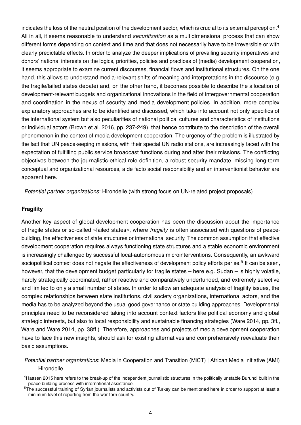indicates the loss of the neutral position of the development sector, which is crucial to its external perception.<sup>4</sup> All in all, it seems reasonable to understand *securitization* as a multidimensional process that can show different forms depending on context and time and that does not necessarily have to be irreversible or with clearly predictable effects. In order to analyze the deeper implications of prevailing security imperatives and donors' national interests on the logics, priorities, policies and practices of (media) development cooperation, it seems appropriate to examine current discourses, financial flows and institutional structures. On the one hand, this allows to understand media-relevant shifts of meaning and interpretations in the discourse (e.g. the fragile/failed states debate) and, on the other hand, it becomes possible to describe the allocation of development-relevant budgets and organizational innovations in the field of intergovernmental cooperation and coordination in the nexus of security and media development policies. In addition, more complex explanatory approaches are to be identified and discussed, which take into account not only specifics of the international system but also peculiarities of national political cultures and characteristics of institutions or individual actors (Brown et al. 2016, pp. 237-249), that hence contribute to the description of the overall phenomenon in the context of media development cooperation. The urgency of the problem is illustrated by the fact that UN peacekeeping missions, with their special UN radio stations, are increasingly faced with the expectation of fulfilling public service broadcast functions during and after their missions. The conflicting objectives between the journalistic-ethical role definition, a robust security mandate, missing long-term conceptual and organizational resources, a de facto social responsibility and an interventionist behavior are apparent here.

*Potential partner organizations*: Hirondelle (with strong focus on UN-related project proposals)

#### **Fragility**

Another key aspect of global development cooperation has been the discussion about the importance of fragile states or so-called »failed states«, where *fragility* is often associated with questions of peacebuilding, the effectiveness of state structures or international security. The common assumption that effective development cooperation requires always functioning state structures and a stable economic environment is increasingly challenged by successful local-autonomous microinterventions. Consequently, an awkward sociopolitical context does not negate the effectiveness of development policy efforts per se.<sup>5</sup> It can be seen, however, that the development budget particularly for fragile states – here e.g. Sudan – is highly volatile, hardly strategically coordinated, rather reactive and comparatively underfunded, and extremely selective and limited to only a small number of states. In order to allow an adequate analysis of fragility issues, the complex relationships between state institutions, civil society organizations, international actors, and the media has to be analyzed beyond the usual good governance or state building approaches. Developmental principles need to be reconsidered taking into account context factors like political economy and global strategic interests, but also to local responsibility and sustainable financing strategies (Ware 2014, pp. 3ff., Ware and Ware 2014, pp. 38ff.). Therefore, approaches and projects of media development cooperation have to face this new insights, should ask for existing alternatives and comprehensively reevaluate their basic assumptions.

*Potential partner organizations*: Media in Cooperation and Transition (MiCT) | African Media Initiative (AMI) | Hirondelle

<sup>&</sup>lt;sup>4</sup>Haasen 2015 here refers to the break-up of the independent journalistic structures in the politically unstable Burundi built in the peace building process with international assistance.

<sup>&</sup>lt;sup>5</sup>The successful training of Syrian journalists and activists out of Turkey can be mentioned here in order to support at least a minimum level of reporting from the war-torn country.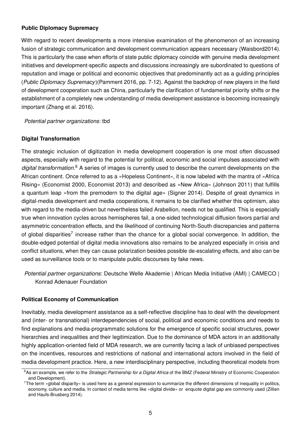## **Public Diplomacy Supremacy**

With regard to recent developments a more intensive examination of the phenomenon of an increasing fusion of strategic communication and development communication appears necessary (Waisbord2014). This is particularly the case when efforts of state public diplomacy coincide with genuine media development initiatives and development-specific aspects and discussions increasingly are subordinated to questions of reputation and image or political and economic objectives that predominantly act as a guiding principles (*Public Diplomacy Supremacy*)(Pamment 2016, pp. 7-12). Against the backdrop of new players in the field of development cooperation such as China, particularly the clarification of fundamental priority shifts or the establishment of a completely new understanding of media development assistance is becoming increasingly important (Zhang et al. 2016).

*Potential partner organizations*: tbd

## **Digital Transformation**

The strategic inclusion of digitization in media development cooperation is one most often discussed aspects, especially with regard to the potential for political, economic and social impulses associated with digital transformation.<sup>6</sup> A series of images is currently used to describe the current developments on the African continent. Once referred to as a »Hopeless Continent«, it is now labeled with the mantra of »Africa Rising« (Economist 2000, Economist 2013) and described as »New Africa« (Johnson 2011) that fulfills a quantum leap »from the premodern to the digital age« (Signer 2014). Despite of great dynamics in digital-media development and media cooperations, it remains to be clarified whether this optimism, also with regard to the media-driven but nevertheless failed Arabellion, needs not be qualified. This is especially true when innovation cycles across hemispheres fail, a one-sided technological diffusion favors partial and asymmetric concentration effects, and the likelihood of continuing North-South discrepancies and patterns of global disparities<sup>7</sup> increase rather than the chance for a global social convergence. In addition, the double-edged potential of digital media innovations also remains to be analyzed especially in crisis and conflict situations, when they can cause polarization besides possible de-escalating effects, and also can be used as surveillance tools or to manipulate public discourses by fake news.

*Potential partner organizations*: Deutsche Welle Akademie | African Media Initiative (AMI) | CAMECO | Konrad Adenauer Foundation

## **Political Economy of Communication**

Inevitably, media development assistance as a self-reflective discipline has to deal with the development and (inter- or transnational) interdependencies of social, political and economic conditions and needs to find explanations and media-programmatic solutions for the emergence of specific social structures, power hierarchies and inequalities and their legitimization. Due to the dominance of MDA actors in an additionally highly application-oriented field of MDA research, we are currently facing a lack of unbiased perspectives on the incentives, resources and restrictions of national and international actors involved in the field of media development practice. Here, a new interdisciplinary perspective, including theoretical models from

<sup>6</sup>As an example, we refer to the *Strategic Partnership for a Digital Africa* of the BMZ (Federal Ministry of Economic Cooperation and Development).

 $7$ The term »global disparity« is used here as a general expression to summarize the different dimensions of inequality in politics, economy, culture and media. In context of media terms like »digital divide« or enquote digital gap are commonly used (Zillien and Haufs-Brusberg 2014).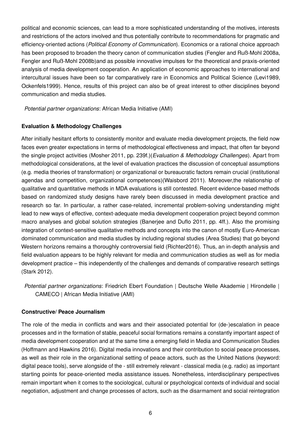political and economic sciences, can lead to a more sophisticated understanding of the motives, interests and restrictions of the actors involved and thus potentially contribute to recommendations for pragmatic and efficiency-oriented actions (*Political Economy of Communication*). Economics or a rational choice approach has been proposed to broaden the theory canon of communication studies (Fengler and Ruß-Mohl 2008a, Fengler and Ruß-Mohl 2008b)and as possible innovative impulses for the theoretical and praxis-oriented analysis of media development cooperation. An application of economic approaches to international and intercultural issues have been so far comparatively rare in Economics and Political Science (Levi1989, Ockenfels1999). Hence, results of this project can also be of great interest to other disciplines beyond communication and media studies.

*Potential partner organizations*: African Media Initiative (AMI)

## **Evaluation & Methodology Challenges**

After initially hesitant efforts to consistently monitor and evaluate media development projects, the field now faces even greater expectations in terms of methodological effectiveness and impact, that often far beyond the single project activities (Mosher 2011, pp. 239f.)(*Evaluation & Methodology Challenges*). Apart from methodological considerations, at the level of evaluation practices the discussion of conceptual assumptions (e.g. media theories of transformation) or organizational or bureaucratic factors remain crucial (institutional agendas and competition, organizational competences)(Waisbord 2011). Moreover,the relationship of qualitative and quantitative methods in MDA evaluations is still contested. Recent evidence-based methods based on randomized study designs have rarely been discussed in media development practice and research so far. In particular, a rather case-related, incremental problem-solving understanding might lead to new ways of effective, context-adequate media development cooperation project beyond common macro analyses and global solution strategies (Banerjee and Duflo 2011, pp. 4ff.). Also the promising integration of context-sensitive qualitative methods and concepts into the canon of mostly Euro-American dominated communication and media studies by including regional studies (Area Studies) that go beyond Western horizons remains a thoroughly controversial field (Richter2016). Thus, an in-depth analysis and field evaluation appears to be highly relevant for media and communication studies as well as for media development practice – this independently of the challenges and demands of comparative research settings (Stark 2012).

*Potential partner organizations*: Friedrich Ebert Foundation | Deutsche Welle Akademie | Hirondelle | CAMECO | African Media Initiative (AMI)

## **Constructive/ Peace Journalism**

The role of the media in conflicts and wars and their associated potential for (de-)escalation in peace processes and in the formation of stable, peaceful social formations remains a constantly important aspect of media development cooperation and at the same time a emerging field in Media and Communication Studies (Hoffmann and Hawkins 2016). Digital media innovations and their contribution to social peace processes, as well as their role in the organizational setting of peace actors, such as the United Nations (keyword: digital peace tools), serve alongside of the - still extremely relevant - classical media (e.g. radio) as important starting points for peace-oriented media assistance issues. Nonetheless, interdisciplinary perspectives remain important when it comes to the sociological, cultural or psychological contexts of individual and social negotiation, adjustment and change processes of actors, such as the disarmament and social reintegration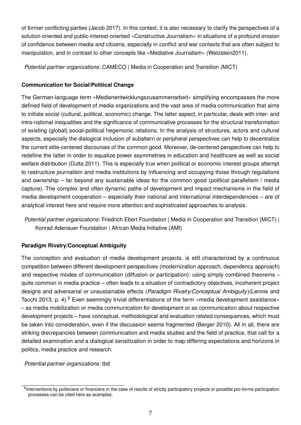of former conflicting parties (Jacob 2017). In this context, it is also necessary to clarify the perspectives of a solution-oriented and public-interest-oriented »Constructive Journalism« in situations of a profound erosion of confidence between media and citizens, especially in conflict and war contexts that are often subject to manipulation, and in contrast to other concepts like »Mediative Journalism« (Wetzstein2011).

*Potential partner organizations*: CAMECO | Media in Cooperation and Transition (MiCT)

# **Communication for Social/Political Change**

The German-language term »Medienentwicklungszusammenarbeit« simplifying encompasses the more defined field of development of media organizations and the vast area of media communication that aims to initiate social (cultural, political, economic) change. The latter aspect, in particular, deals with inter- and intra-national inequalities and the significance of communicative processes for the structural transformation of existing (global) social-political hegemonic relations. In the analysis of structures, actors and cultural aspects, especially the dialogical inclusion of subaltern or peripheral perspectives can help to decentralize the current elite-centered discourses of the common good. Moreover, de-centered perspectives can help to redefine the latter in order to equalize power asymmetries in education and healthcare as well as social welfare distribution (Dutta 2011). This is especially true when political or economic interest groups attempt to restructure journalism and media institutions by influencing and occupying those through regulations and ownership – far beyond any sustainable ideas for the common good (political parallelism / media capture). The complex and often dynamic paths of development and impact mechanisms in the field of media development cooperation – especially their national and international interdependencies – are of analytical interest here and require more attention and sophisticated approaches to analysis.

*Potential partner organizations*: Friedrich Ebert Foundation | Media in Cooperation and Transition (MiCT) | Konrad Adenauer Foundation | African Media Initiative (AMI)

## **Paradigm Rivalry/Conceptual Ambiguity**

The conception and evaluation of media development projects, is still characterized by a continuous competition between different development perspectives (modernization approach, dependency approach) and respective modes of communication (diffusion or participation): using simply combined theorems – quite common in media practice – often leads to a situation of contradictory objectives, incoherent project designs and adversarial or unsustainable effects (*Paradigm Rivalry/Conceptual Ambiguity*)(Lennie and Tacchi 2013, p. 4).<sup>8</sup> Even seemingly trivial differentiations of the term »media development assistance« – as media mobilization or media communication for development or as communication about respective development projects – have conceptual, methodological and evaluation related consequences, which must be taken into consideration, even if the discussion seems fragmented (Berger 2010). All in all, there are striking discrepancies between communication and media studies and the field of practice, that call for a detailed examination and a dialogical sensitization in order to map differing expectations and horizons in politics, media practice and research.

*Potential partner organizations*: tbd

<sup>&</sup>lt;sup>8</sup>Interventions by politicians or financiers in the case of results of strictly participatory projects or possible pro-forma participation processes can be cited here as examples.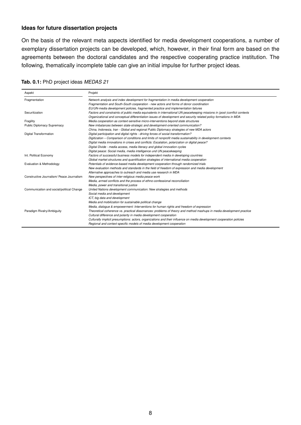#### **Ideas for future dissertation projects**

On the basis of the relevant meta aspects identified for media development cooperations, a number of exemplary dissertation projects can be developed, which, however, in their final form are based on the agreements between the doctoral candidates and the respective cooperating practice institution. The following, thematically incomplete table can give an initial impulse for further project ideas.

| Aspekt                                    | Projekt                                                                                                                   |
|-------------------------------------------|---------------------------------------------------------------------------------------------------------------------------|
| Fragmentation                             | Network analysis and index development for fragmentation in media development cooperation                                 |
|                                           | Fragmentation and South-South cooperation - new actors and forms of donor coordination                                    |
|                                           | EU/UN-media development policies, fragmented practice and implementation failures                                         |
| Securitization                            | Factors and constraints of public media equivalents in international UN peacekeeping missions in (post-)conflict contexts |
|                                           | Organizational and conceptual differentiation issues of development and security related policy formations in MDA         |
| Fragility                                 | Media cooperation as context-sensitive micro-interventions beyond state structures                                        |
| <b>Public Diplomacy Supremacy</b>         | New imbalances between state-strategic and development-oriented communication?                                            |
|                                           | China, Indonesia, Iran - Global and regional Public Diplomacy strategies of new MDA actors                                |
| <b>Digital Transformation</b>             | Digital participation and digital rights - driving forces of social transformation?                                       |
|                                           | Digitization - Comparison of conditions and limits of nonprofit media sustainability in development contexts              |
|                                           | Digital media innovations in crises and conflicts: Escalation, polarization or digital peace?                             |
|                                           | Digital Divide - media access, media literacy and global innovation cycles                                                |
|                                           | Digital peace: Social media, media intelligence und UN peacekeeping                                                       |
| Int. Political Economy                    | Factors of successful business models for independent media in developing countries                                       |
|                                           | Global market structures and quantification strategies of international media cooperation                                 |
| Evaluation & Methodology                  | Potentials of evidence-based media development cooperation through randomized trials                                      |
|                                           | New evaluation methods and standards in the field of freedom of expression and media development                          |
|                                           | Alternative approaches to outreach and media use research in MDA                                                          |
| Constructive Journalism/ Peace Journalism | New perspectives of inter-religious media peace work                                                                      |
|                                           | Media, armed conflicts and the process of ethno-confessional reconciliation                                               |
|                                           | Media, power and transitional justice                                                                                     |
| Communication and social/political Change | United Nations development communication: New strategies and methods                                                      |
|                                           | Social media and development                                                                                              |
|                                           | ICT, big data and development                                                                                             |
|                                           | Media and mobilization for sustainable political change                                                                   |
|                                           | Media, dialogue & empowerment: Interventions for human rights and freedom of expression                                   |
| Paradigm Rivalry/Ambiguity                | Theoretical coherence vs. practical dissonances: problems of theory and method mashups in media development practice      |
|                                           | Cultural difference and polarity in media development cooperation                                                         |
|                                           | Culturally implicit presumptions: actors, organizations and their influence on media development cooperation policies     |
|                                           | Regional and context-specific models of media development cooperation                                                     |

#### **Tab. 0.1:** PhD project ideas *MEDAS 21*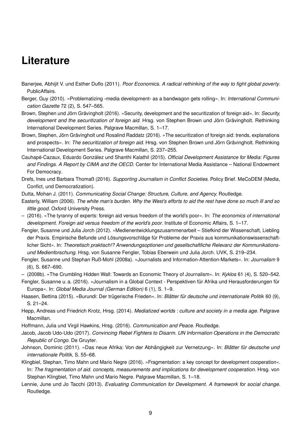# **Literature**

- Banerjee, Abhijit V. und Esther Duflo (2011). *Poor Economics. A radical rethinking of the way to fight global poverty*. PublicAffairs.
- Berger, Guy (2010). »Problematizing ›media development‹ as a bandwagon gets rolling«. In: *International Communication Gazette* 72 (2), S. 547–565.
- Brown, Stephen und Jörn Grävingholt (2016). »Security, development and the securitization of foreign aid«. In: *Security, development and the securitization of foreign aid*. Hrsg. von Stephen Brown und Jörn Grävingholt. Rethinking International Development Series. Palgrave Macmillan, S. 1–17.
- Brown, Stephen, Jörn Grävingholt und Rosalind Raddatz (2016). »The securitization of foreign aid: trends, explanations and prospects«. In: *The securitization of foreign aid*. Hrsg. von Stephen Brown und Jörn Grävingholt. Rethinking International Development Series. Palgrave Macmillan, S. 237–255.
- Cauhapé-Cazaux, Eduardo González und Shanthi Kalathil (2015). *Official Development Assistance for Media: Figures and Findings. A Report by CIMA and the OECD*. Center for International Media Assistance – National Endowment For Democracy.
- Drefs, Ines und Barbara Thomaß (2016). *Supporting Journalism in Conflict Societies*. Policy Brief. MeCoDEM (Media, Confict, und Democratization).
- Dutta, Mohan J. (2011). *Communicating Social Change: Structure, Culture, and Agency.* Routledge.
- Easterly, William (2006). *The white man's burden. Why the West's efforts to aid the rest have done so much ill and so little good*. Oxford University Press.
- (2016). »The tyranny of experts: foreign aid versus freedom of the world's poor«. In: *The economics of international development. Foreign aid versus freedom of the world's poor*. Institute of Economic Affairs, S. 1–17.
- Fengler, Susanne und Julia Jorch (2012). »Medienentwicklungszusammenarbeit Stiefkind der Wissenschaft, Liebling der Praxis. Empirische Befunde und Lösungsvorschläge für Probleme der Praxis aus kommunikationswissenschaftlicher Sicht«. In: *Theoretisch praktisch!? Anwendungsoptionen und gesellschaftliche Relevanz der Kommunikationsund Medienforschung*. Hrsg. von Susanne Fengler, Tobias Eberwein und Julia Jorch. UVK, S. 219–234.
- Fengler, Susanne und Stephan Ruß-Mohl (2008a). »Journalists and Information-Attention-Markets«. In: *Journalism* 9 (6), S. 667–690.
- (2008b). »The Crumbling Hidden Wall: Towards an Economic Theory of Journalism«. In: *Kyklos* 61 (4), S. 520–542.
- Fengler, Susanne u. a. (2016). »Journalism in a Global Context Perspektiven für Afrika und Herausforderungen für Europa«. In: *Global Media Journal (German Edition)* 6 (1), S. 1–9.
- Haasen, Bettina (2015). »Burundi: Der trügerische Frieden«. In: *Blätter für deutsche und internationale Politik* 60 (9), S. 21–24.
- Hepp, Andreas und Friedrich Krotz, Hrsg. (2014). *Mediatized worlds : culture and society in a media age*. Palgrave Macmillan.
- Hoffmann, Julia und Virgil Hawkins, Hrsg. (2016). *Communication and Peace*. Routledge.
- Jacob, Jacob Udo-Udo (2017). *Convincing Rebel Fighters to Disarm. UN Information Operations in the Democratic Republic of Congo*. De Gruyter.
- Johnson, Dominic (2011). »Das neue Afrika: Von der Abhängigkeit zur Vernetzung«. In: *Blätter für deutsche und internationale Politik*, S. 55–68.
- Klingbiel, Stephan, Timo Mahn und Mario Negre (2016). »Fragmentation: a key concept for development cooperation«. In: *The fragmentation of aid. concepts, measurements and implications for development cooperation*. Hrsg. von Stephan Klingbiel, Timo Mahn und Mario Negre. Palgrave Macmillan, S. 1–18.
- Lennie, June und Jo Tacchi (2013). *Evaluating Communication for Development. A framework for social change*. Routledge.